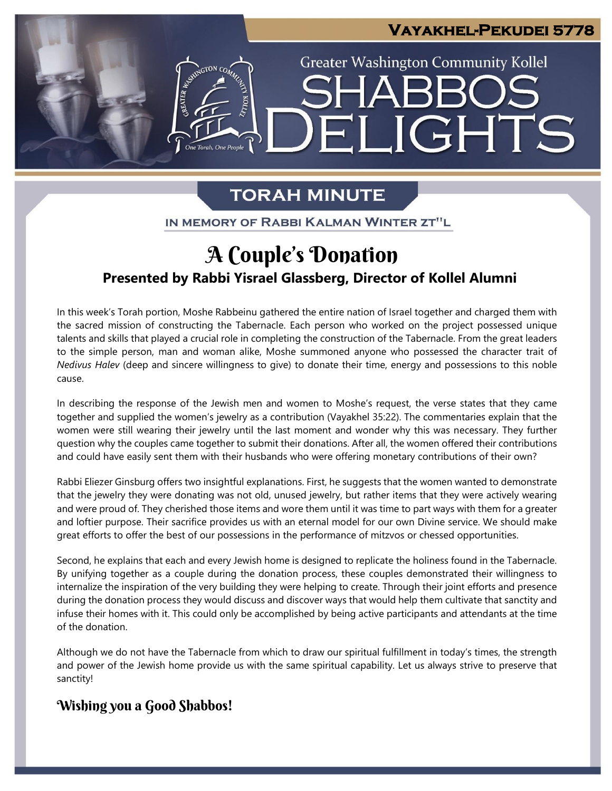

# **TORAH MINUTE**

IN MEMORY OF RABBI KALMAN WINTER ZT"L

# **Presented by Rabbi Yisrael Glassberg, Director of Kollel Alumni** A Couple's Donation

In this week's Torah portion, Moshe Rabbeinu gathered the entire nation of Israel together and charged them with the sacred mission of constructing the Tabernacle. Each person who worked on the project possessed unique talents and skills that played a crucial role in completing the construction of the Tabernacle. From the great leaders to the simple person, man and woman alike, Moshe summoned anyone who possessed the character trait of *Nedivus Halev* (deep and sincere willingness to give) to donate their time, energy and possessions to this noble cause.

In describing the response of the Jewish men and women to Moshe's request, the verse states that they came together and supplied the women's jewelry as a contribution (Vayakhel 35:22). The commentaries explain that the women were still wearing their jewelry until the last moment and wonder why this was necessary. They further question why the couples came together to submit their donations. After all, the women offered their contributions and could have easily sent them with their husbands who were offering monetary contributions of their own? **pre**

Rabbi Eliezer Ginsburg offers two insightful explanations. First, he suggests that the women wanted to demonstrate that the jewelry they were donating was not old, unused jewelry, but rather items that they were actively wearing and were proud of. They cherished those items and wore them until it was time to part ways with them for a greater and loftier purpose. Their sacrifice provides us with an eternal model for our own Divine service. We should make great efforts to offer the best of our possessions in the performance of mitzvos or chessed opportunities.

Second, he explains that each and every Jewish home is designed to replicate the holiness found in the Tabernacle. By unifying together as a couple during the donation process, these couples demonstrated their willingness to internalize the inspiration of the very building they were helping to create. Through their joint efforts and presence during the donation process they would discuss and discover ways that would help them cultivate that sanctity and infuse their homes with it. This could only be accomplished by being active participants and attendants at the time of the donation.

Although we do not have the Tabernacle from which to draw our spiritual fulfillment in today's times, the strength and power of the Jewish home provide us with the same spiritual capability. Let us always strive to preserve that sanctity!

## Wishing you a Good Shabbos!